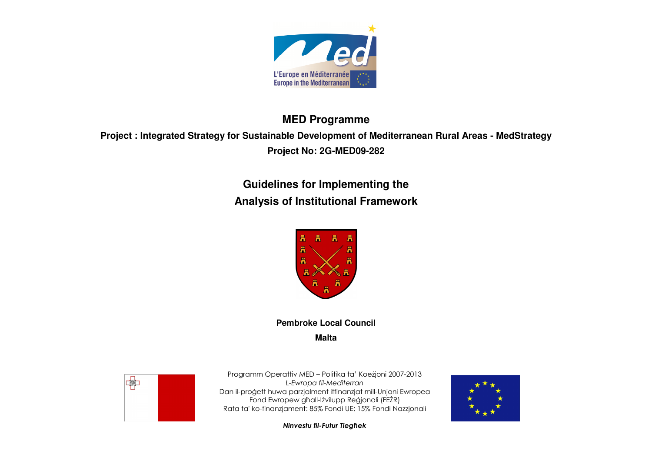

# **MED Programme**

# **Project : Integrated Strategy for Sustainable Development of Mediterranean Rural Areas - MedStrategy Project No: 2G-MED09-282**

**Guidelines for Implementing the Analysis of Institutional Framework** 



**Pembroke Local Council Malta** 



Programm Operattiv MED – Politika ta' Koeżjoni 2007-2013 L-Ewropa fil-Mediterran Dan il-proġett huwa parzjalment iffinanzjat mill-Unjoni Ewropea Fond Ewropew għall-Iżvilupp Reġjonali (FEŻR) Rata ta' ko-finanzjament: 85% Fondi UE; 15% Fondi Nazzjonali



Ninvestu fil-Futur Tiegħek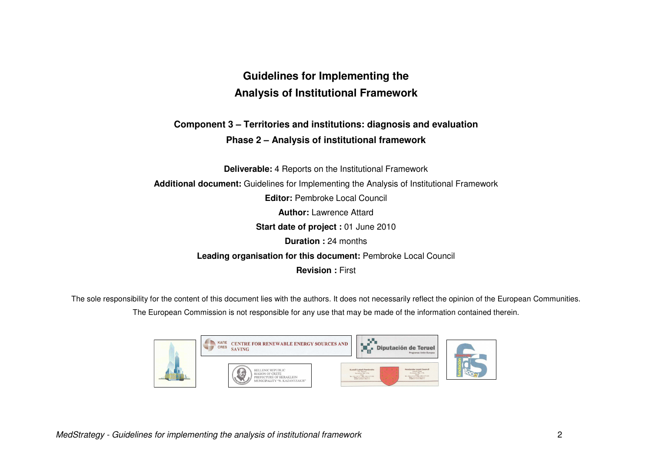# **Guidelines for Implementing the Analysis of Institutional Framework**

## **Component 3 – Territories and institutions: diagnosis and evaluation Phase 2 – Analysis of institutional framework**

**Deliverable:** 4 Reports on the Institutional Framework **Additional document:** Guidelines for Implementing the Analysis of Institutional Framework **Editor: Pembroke Local Council Author:** Lawrence Attard **Start date of project :** 01 June 2010 **Duration :** 24 months **Leading organisation for this document:** Pembroke Local Council**Revision :** First

The sole responsibility for the content of this document lies with the authors. It does not necessarily reflect the opinion of the European Communities.

The European Commission is not responsible for any use that may be made of the information contained therein.

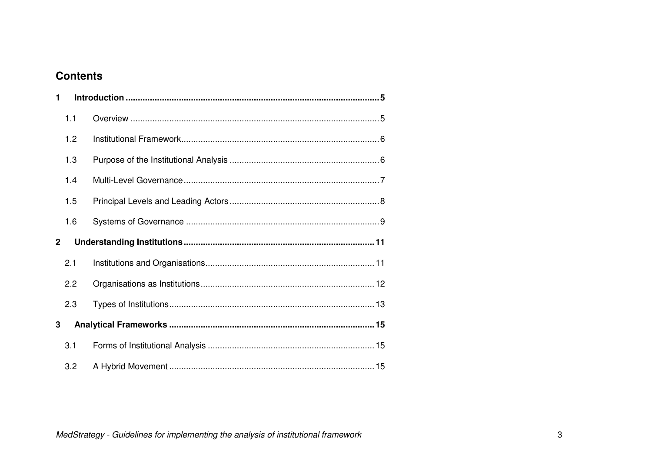# **Contents**

| 1           |     |  |  |  |  |  |
|-------------|-----|--|--|--|--|--|
|             | 1.1 |  |  |  |  |  |
|             | 1.2 |  |  |  |  |  |
|             | 1.3 |  |  |  |  |  |
|             | 1.4 |  |  |  |  |  |
|             | 1.5 |  |  |  |  |  |
|             | 1.6 |  |  |  |  |  |
|             |     |  |  |  |  |  |
| $\mathbf 2$ |     |  |  |  |  |  |
|             | 2.1 |  |  |  |  |  |
|             | 2.2 |  |  |  |  |  |
|             | 2.3 |  |  |  |  |  |
| 3           |     |  |  |  |  |  |
|             | 3.1 |  |  |  |  |  |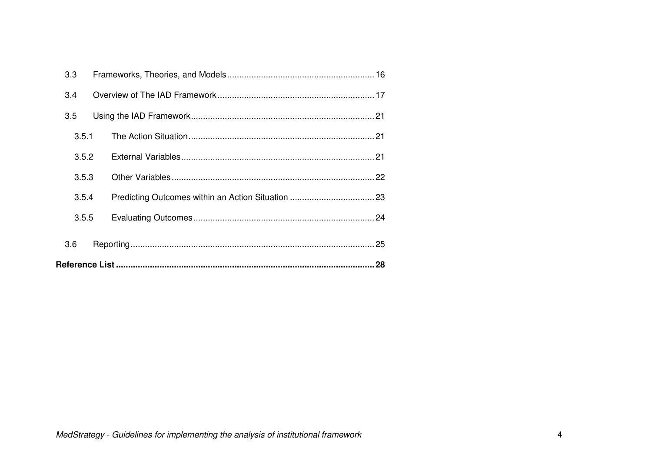|                                  | 3.3   |  |  |  |  |  |  |
|----------------------------------|-------|--|--|--|--|--|--|
|                                  | 3.4   |  |  |  |  |  |  |
|                                  | 3.5   |  |  |  |  |  |  |
| 3.5.1<br>3.5.2<br>3.5.3<br>3.5.4 |       |  |  |  |  |  |  |
|                                  |       |  |  |  |  |  |  |
|                                  |       |  |  |  |  |  |  |
|                                  |       |  |  |  |  |  |  |
|                                  | 3.5.5 |  |  |  |  |  |  |
|                                  | 3.6   |  |  |  |  |  |  |
|                                  |       |  |  |  |  |  |  |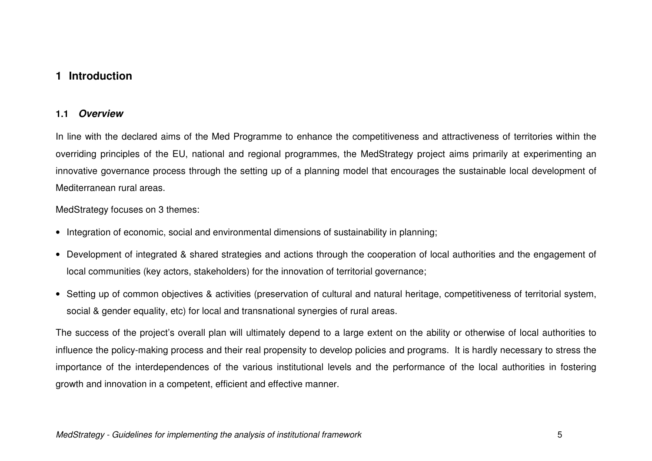### **1 Introduction**

### **1.1 Overview**

In line with the declared aims of the Med Programme to enhance the competitiveness and attractiveness of territories within the overriding principles of the EU, national and regional programmes, the MedStrategy project aims primarily at experimenting an innovative governance process through the setting up of a planning model that encourages the sustainable local development of Mediterranean rural areas.

MedStrategy focuses on 3 themes:

- Integration of economic, social and environmental dimensions of sustainability in planning;
- Development of integrated & shared strategies and actions through the cooperation of local authorities and the engagement of local communities (key actors, stakeholders) for the innovation of territorial governance;
- Setting up of common objectives & activities (preservation of cultural and natural heritage, competitiveness of territorial system, social & gender equality, etc) for local and transnational synergies of rural areas.

The success of the project's overall plan will ultimately depend to a large extent on the ability or otherwise of local authorities to influence the policy-making process and their real propensity to develop policies and programs. It is hardly necessary to stress the importance of the interdependences of the various institutional levels and the performance of the local authorities in fostering growth and innovation in a competent, efficient and effective manner.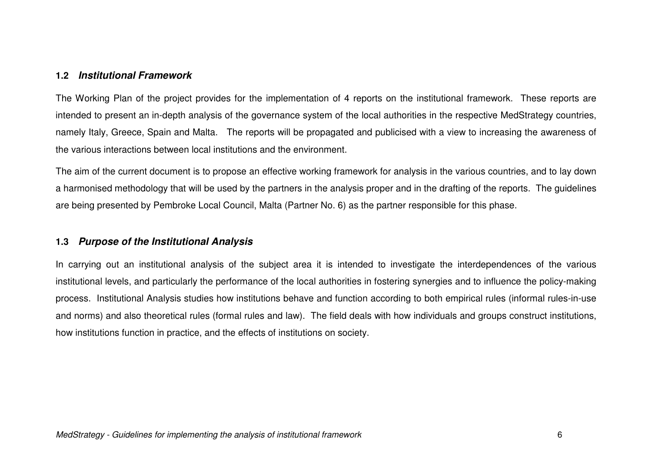### **1.2 Institutional Framework**

The Working Plan of the project provides for the implementation of 4 reports on the institutional framework. These reports are intended to present an in-depth analysis of the governance system of the local authorities in the respective MedStrategy countries, namely Italy, Greece, Spain and Malta. The reports will be propagated and publicised with a view to increasing the awareness of the various interactions between local institutions and the environment.

The aim of the current document is to propose an effective working framework for analysis in the various countries, and to lay down a harmonised methodology that will be used by the partners in the analysis proper and in the drafting of the reports. The guidelines are being presented by Pembroke Local Council, Malta (Partner No. 6) as the partner responsible for this phase.

### **1.3 Purpose of the Institutional Analysis**

In carrying out an institutional analysis of the subject area it is intended to investigate the interdependences of the various institutional levels, and particularly the performance of the local authorities in fostering synergies and to influence the policy-making process. Institutional Analysis studies how institutions behave and function according to both empirical rules (informal rules-in-use and norms) and also theoretical rules (formal rules and law). The field deals with how individuals and groups construct institutions, how institutions function in practice, and the effects of institutions on society.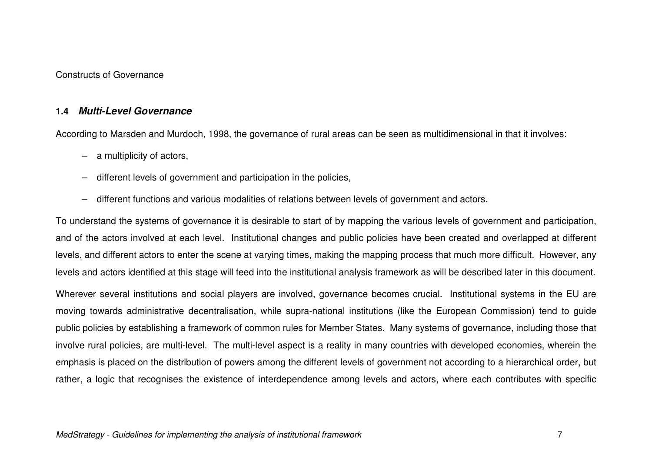Constructs of Governance

### **1.4 Multi-Level Governance**

According to Marsden and Murdoch, 1998, the governance of rural areas can be seen as multidimensional in that it involves:

- a multiplicity of actors,
- different levels of government and participation in the policies,
- different functions and various modalities of relations between levels of government and actors.

To understand the systems of governance it is desirable to start of by mapping the various levels of government and participation, and of the actors involved at each level. Institutional changes and public policies have been created and overlapped at different levels, and different actors to enter the scene at varying times, making the mapping process that much more difficult. However, any levels and actors identified at this stage will feed into the institutional analysis framework as will be described later in this document.

Wherever several institutions and social players are involved, governance becomes crucial. Institutional systems in the EU are moving towards administrative decentralisation, while supra-national institutions (like the European Commission) tend to guide public policies by establishing a framework of common rules for Member States. Many systems of governance, including those that involve rural policies, are multi-level. The multi-level aspect is a reality in many countries with developed economies, wherein the emphasis is placed on the distribution of powers among the different levels of government not according to a hierarchical order, but rather, a logic that recognises the existence of interdependence among levels and actors, where each contributes with specific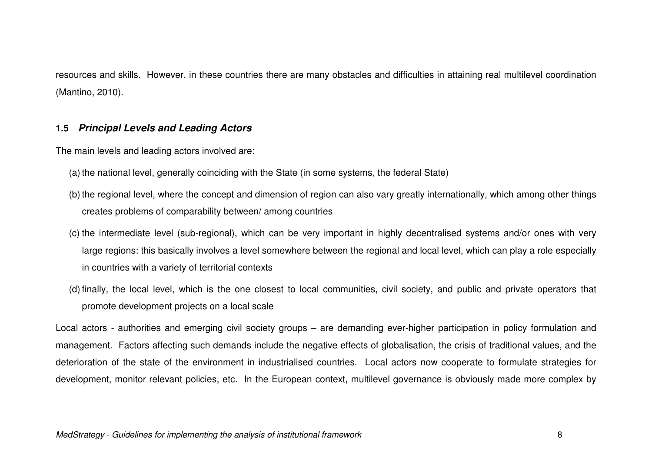resources and skills. However, in these countries there are many obstacles and difficulties in attaining real multilevel coordination (Mantino, 2010).

### **1.5 Principal Levels and Leading Actors**

The main levels and leading actors involved are:

- (a) the national level, generally coinciding with the State (in some systems, the federal State)
- (b) the regional level, where the concept and dimension of region can also vary greatly internationally, which among other things creates problems of comparability between/ among countries
- (c) the intermediate level (sub-regional), which can be very important in highly decentralised systems and/or ones with very large regions: this basically involves a level somewhere between the regional and local level, which can play a role especially in countries with a variety of territorial contexts
- (d) finally, the local level, which is the one closest to local communities, civil society, and public and private operators that promote development projects on a local scale

Local actors - authorities and emerging civil society groups – are demanding ever-higher participation in policy formulation and management. Factors affecting such demands include the negative effects of globalisation, the crisis of traditional values, and the deterioration of the state of the environment in industrialised countries. Local actors now cooperate to formulate strategies for development, monitor relevant policies, etc. In the European context, multilevel governance is obviously made more complex by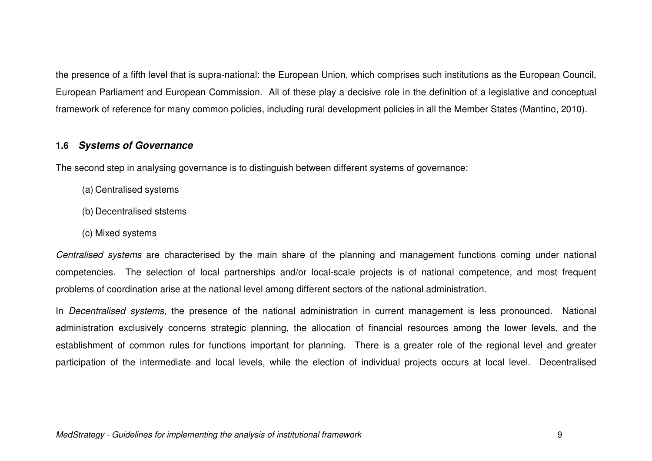the presence of a fifth level that is supra-national: the European Union, which comprises such institutions as the European Council, European Parliament and European Commission. All of these play a decisive role in the definition of a legislative and conceptual framework of reference for many common policies, including rural development policies in all the Member States (Mantino, 2010).

### **1.6 Systems of Governance**

The second step in analysing governance is to distinguish between different systems of governance:

- (a) Centralised systems
- (b) Decentralised ststems
- (c) Mixed systems

Centralised systems are characterised by the main share of the planning and management functions coming under national competencies. The selection of local partnerships and/or local-scale projects is of national competence, and most frequent problems of coordination arise at the national level among different sectors of the national administration.

In Decentralised systems, the presence of the national administration in current management is less pronounced. National administration exclusively concerns strategic planning, the allocation of financial resources among the lower levels, and the establishment of common rules for functions important for planning. There is a greater role of the regional level and greater participation of the intermediate and local levels, while the election of individual projects occurs at local level. Decentralised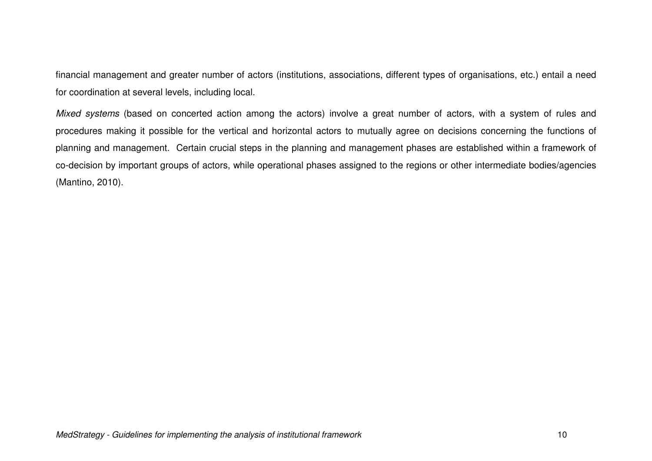financial management and greater number of actors (institutions, associations, different types of organisations, etc.) entail a need for coordination at several levels, including local.

Mixed systems (based on concerted action among the actors) involve a great number of actors, with a system of rules and procedures making it possible for the vertical and horizontal actors to mutually agree on decisions concerning the functions of planning and management. Certain crucial steps in the planning and management phases are established within a framework of co-decision by important groups of actors, while operational phases assigned to the regions or other intermediate bodies/agencies (Mantino, 2010).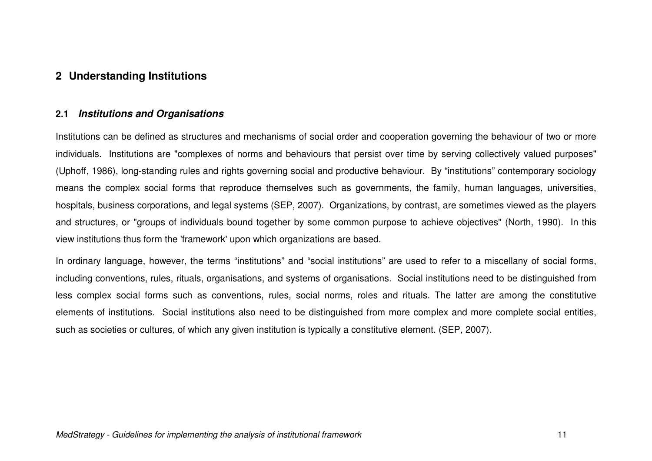### **2 Understanding Institutions**

### **2.1 Institutions and Organisations**

Institutions can be defined as structures and mechanisms of social order and cooperation governing the behaviour of two or more individuals. Institutions are "complexes of norms and behaviours that persist over time by serving collectively valued purposes" (Uphoff, 1986), long-standing rules and rights governing social and productive behaviour. By "institutions" contemporary sociology means the complex social forms that reproduce themselves such as governments, the family, human languages, universities, hospitals, business corporations, and legal systems (SEP, 2007). Organizations, by contrast, are sometimes viewed as the players and structures, or "groups of individuals bound together by some common purpose to achieve objectives" (North, 1990). In this view institutions thus form the 'framework' upon which organizations are based.

In ordinary language, however, the terms "institutions" and "social institutions" are used to refer to a miscellany of social forms, including conventions, rules, rituals, organisations, and systems of organisations. Social institutions need to be distinguished from less complex social forms such as conventions, rules, social norms, roles and rituals. The latter are among the constitutive elements of institutions. Social institutions also need to be distinguished from more complex and more complete social entities, such as societies or cultures, of which any given institution is typically a constitutive element. (SEP, 2007).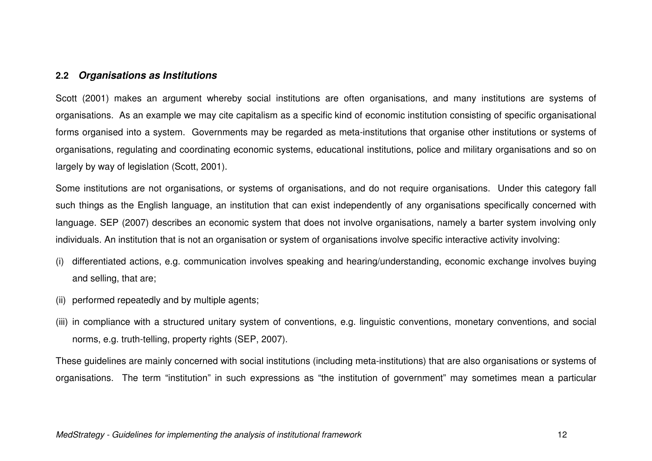#### **2.2 Organisations as Institutions**

Scott (2001) makes an argument whereby social institutions are often organisations, and many institutions are systems of organisations. As an example we may cite capitalism as a specific kind of economic institution consisting of specific organisational forms organised into a system. Governments may be regarded as meta-institutions that organise other institutions or systems of organisations, regulating and coordinating economic systems, educational institutions, police and military organisations and so on largely by way of legislation (Scott, 2001).

Some institutions are not organisations, or systems of organisations, and do not require organisations. Under this category fall such things as the English language, an institution that can exist independently of any organisations specifically concerned with language. SEP (2007) describes an economic system that does not involve organisations, namely a barter system involving only individuals. An institution that is not an organisation or system of organisations involve specific interactive activity involving:

- (i) differentiated actions, e.g. communication involves speaking and hearing/understanding, economic exchange involves buying and selling, that are;
- (ii) performed repeatedly and by multiple agents;
- (iii) in compliance with a structured unitary system of conventions, e.g. linguistic conventions, monetary conventions, and social norms, e.g. truth-telling, property rights (SEP, 2007).

These guidelines are mainly concerned with social institutions (including meta-institutions) that are also organisations or systems of organisations. The term "institution" in such expressions as "the institution of government" may sometimes mean a particular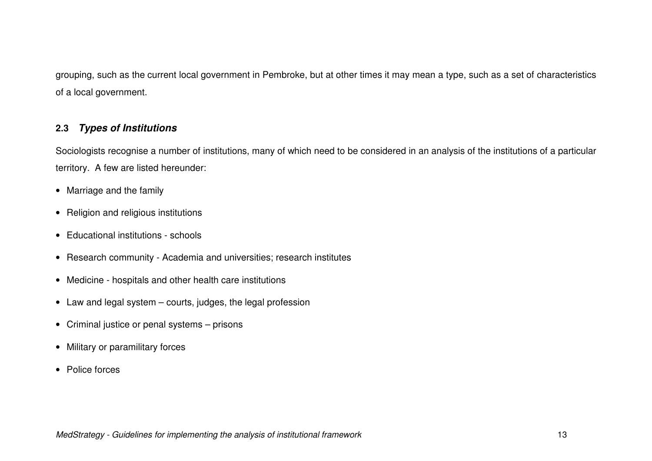grouping, such as the current local government in Pembroke, but at other times it may mean a type, such as a set of characteristics of a local government.

### **2.3 Types of Institutions**

Sociologists recognise a number of institutions, many of which need to be considered in an analysis of the institutions of a particular territory. A few are listed hereunder:

- Marriage and the family
- Religion and religious institutions
- Educational institutions schools
- Research community Academia and universities; research institutes
- Medicine hospitals and other health care institutions
- Law and legal system courts, judges, the legal profession
- Criminal justice or penal systems prisons
- Military or paramilitary forces
- Police forces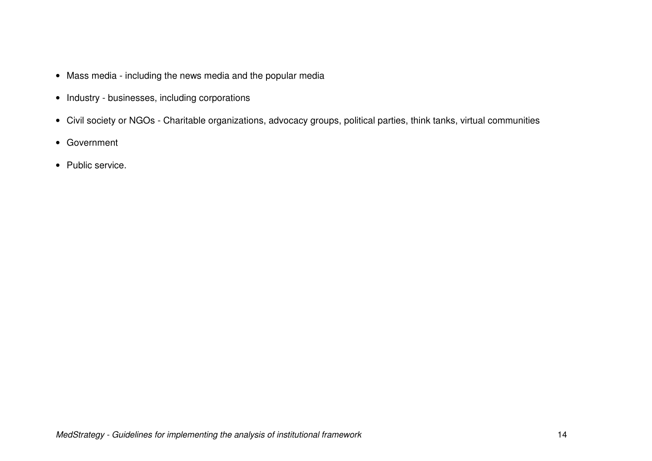- Mass media including the news media and the popular media
- Industry businesses, including corporations
- Civil society or NGOs Charitable organizations, advocacy groups, political parties, think tanks, virtual communities
- Government
- Public service.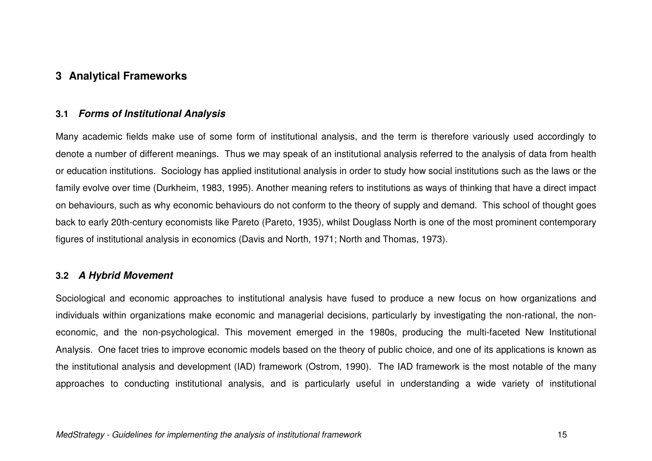### **3 Analytical Frameworks**

### **3.1 Forms of Institutional Analysis**

Many academic fields make use of some form of institutional analysis, and the term is therefore variously used accordingly to denote a number of different meanings. Thus we may speak of an institutional analysis referred to the analysis of data from health or education institutions. Sociology has applied institutional analysis in order to study how social institutions such as the laws or the family evolve over time (Durkheim, 1983, 1995). Another meaning refers to institutions as ways of thinking that have a direct impact on behaviours, such as why economic behaviours do not conform to the theory of supply and demand. This school of thought goes back to early 20th-century economists like Pareto (Pareto, 1935), whilst Douglass North is one of the most prominent contemporary figures of institutional analysis in economics (Davis and North, 1971; North and Thomas, 1973).

### **3.2 A Hybrid Movement**

Sociological and economic approaches to institutional analysis have fused to produce a new focus on how organizations and individuals within organizations make economic and managerial decisions, particularly by investigating the non-rational, the noneconomic, and the non-psychological. This movement emerged in the 1980s, producing the multi-faceted New Institutional Analysis. One facet tries to improve economic models based on the theory of public choice, and one of its applications is known as the institutional analysis and development (IAD) framework (Ostrom, 1990). The IAD framework is the most notable of the many approaches to conducting institutional analysis, and is particularly useful in understanding a wide variety of institutional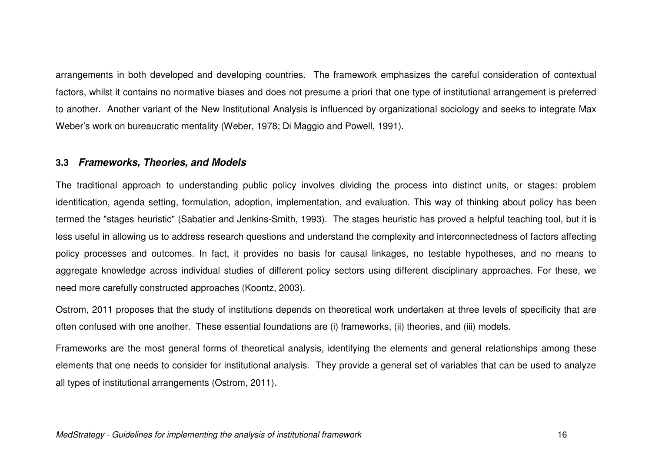arrangements in both developed and developing countries. The framework emphasizes the careful consideration of contextual factors, whilst it contains no normative biases and does not presume a priori that one type of institutional arrangement is preferred to another. Another variant of the New Institutional Analysis is influenced by organizational sociology and seeks to integrate Max Weber's work on bureaucratic mentality (Weber, 1978; Di Maggio and Powell, 1991).

### **3.3 Frameworks, Theories, and Models**

The traditional approach to understanding public policy involves dividing the process into distinct units, or stages: problem identification, agenda setting, formulation, adoption, implementation, and evaluation. This way of thinking about policy has been termed the "stages heuristic" (Sabatier and Jenkins-Smith, 1993). The stages heuristic has proved a helpful teaching tool, but it is less useful in allowing us to address research questions and understand the complexity and interconnectedness of factors affecting policy processes and outcomes. In fact, it provides no basis for causal linkages, no testable hypotheses, and no means to aggregate knowledge across individual studies of different policy sectors using different disciplinary approaches. For these, we need more carefully constructed approaches (Koontz, 2003).

Ostrom, 2011 proposes that the study of institutions depends on theoretical work undertaken at three levels of specificity that are often confused with one another. These essential foundations are (i) frameworks, (ii) theories, and (iii) models.

Frameworks are the most general forms of theoretical analysis, identifying the elements and general relationships among these elements that one needs to consider for institutional analysis. They provide a general set of variables that can be used to analyze all types of institutional arrangements (Ostrom, 2011).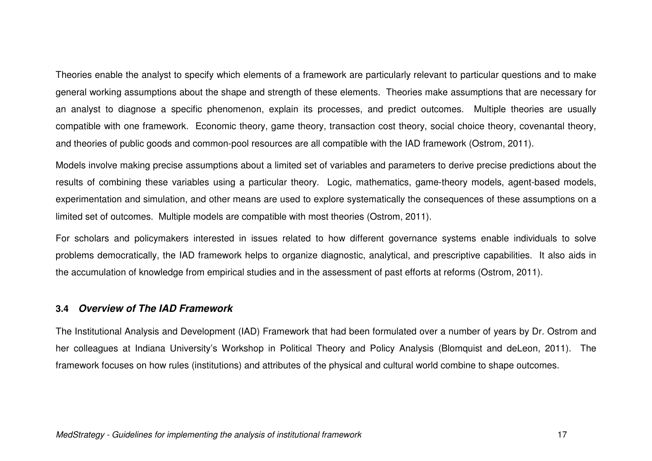Theories enable the analyst to specify which elements of a framework are particularly relevant to particular questions and to make general working assumptions about the shape and strength of these elements. Theories make assumptions that are necessary for an analyst to diagnose a specific phenomenon, explain its processes, and predict outcomes. Multiple theories are usually compatible with one framework. Economic theory, game theory, transaction cost theory, social choice theory, covenantal theory, and theories of public goods and common-pool resources are all compatible with the IAD framework (Ostrom, 2011).

Models involve making precise assumptions about a limited set of variables and parameters to derive precise predictions about the results of combining these variables using a particular theory. Logic, mathematics, game-theory models, agent-based models, experimentation and simulation, and other means are used to explore systematically the consequences of these assumptions on a limited set of outcomes. Multiple models are compatible with most theories (Ostrom, 2011).

For scholars and policymakers interested in issues related to how different governance systems enable individuals to solve problems democratically, the IAD framework helps to organize diagnostic, analytical, and prescriptive capabilities. It also aids in the accumulation of knowledge from empirical studies and in the assessment of past efforts at reforms (Ostrom, 2011).

### **3.4 Overview of The IAD Framework**

The Institutional Analysis and Development (IAD) Framework that had been formulated over a number of years by Dr. Ostrom and her colleagues at Indiana University's Workshop in Political Theory and Policy Analysis (Blomquist and deLeon, 2011). The framework focuses on how rules (institutions) and attributes of the physical and cultural world combine to shape outcomes.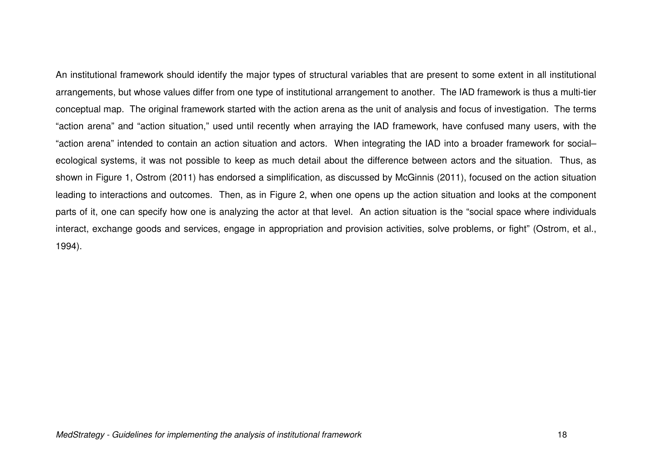An institutional framework should identify the major types of structural variables that are present to some extent in all institutional arrangements, but whose values differ from one type of institutional arrangement to another. The IAD framework is thus a multi-tier conceptual map. The original framework started with the action arena as the unit of analysis and focus of investigation. The terms "action arena" and "action situation," used until recently when arraying the IAD framework, have confused many users, with the "action arena" intended to contain an action situation and actors. When integrating the IAD into a broader framework for social–ecological systems, it was not possible to keep as much detail about the difference between actors and the situation. Thus, as shown in Figure 1, Ostrom (2011) has endorsed a simplification, as discussed by McGinnis (2011), focused on the action situation leading to interactions and outcomes. Then, as in Figure 2, when one opens up the action situation and looks at the component parts of it, one can specify how one is analyzing the actor at that level. An action situation is the "social space where individuals interact, exchange goods and services, engage in appropriation and provision activities, solve problems, or fight" (Ostrom, et al., 1994).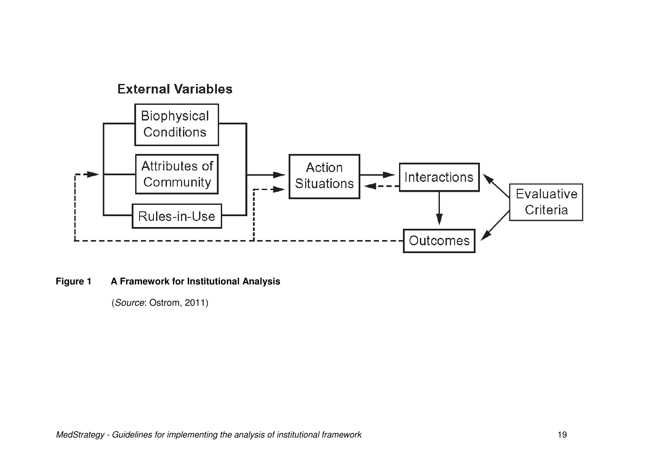

**Figure 1 A Framework for Institutional Analysis** 

(Source: Ostrom, 2011)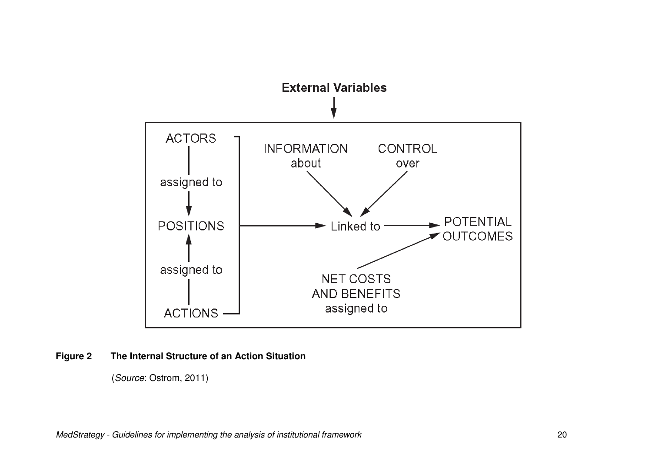

### **Figure 2 The Internal Structure of an Action Situation**

(Source: Ostrom, 2011)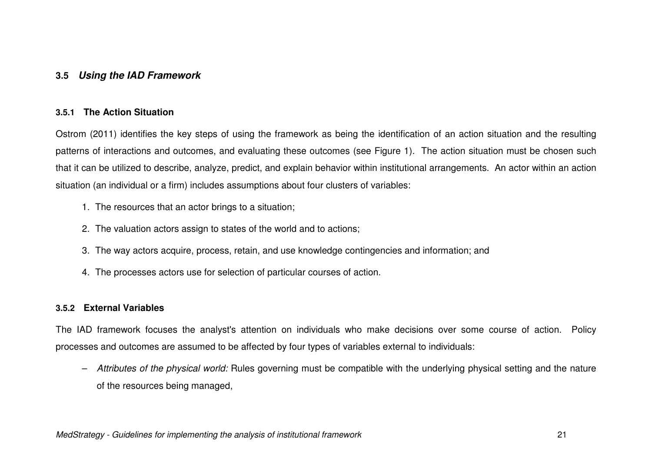### **3.5 Using the IAD Framework**

#### **3.5.1 The Action Situation**

Ostrom (2011) identifies the key steps of using the framework as being the identification of an action situation and the resulting patterns of interactions and outcomes, and evaluating these outcomes (see Figure 1). The action situation must be chosen such that it can be utilized to describe, analyze, predict, and explain behavior within institutional arrangements. An actor within an action situation (an individual or a firm) includes assumptions about four clusters of variables:

- 1. The resources that an actor brings to a situation;
- 2. The valuation actors assign to states of the world and to actions;
- 3. The way actors acquire, process, retain, and use knowledge contingencies and information; and
- 4. The processes actors use for selection of particular courses of action.

#### **3.5.2 External Variables**

The IAD framework focuses the analyst's attention on individuals who make decisions over some course of action. Policy processes and outcomes are assumed to be affected by four types of variables external to individuals:

– Attributes of the physical world: Rules governing must be compatible with the underlying physical setting and the nature of the resources being managed,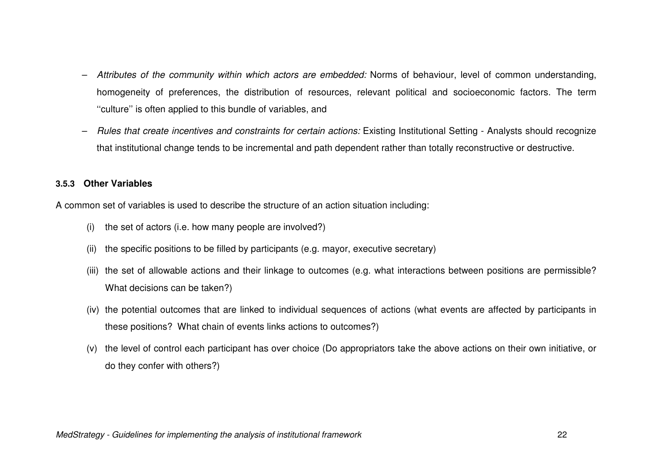- Attributes of the community within which actors are embedded: Norms of behaviour, level of common understanding,homogeneity of preferences, the distribution of resources, relevant political and socioeconomic factors. The term ''culture'' is often applied to this bundle of variables, and
- Rules that create incentives and constraints for certain actions: Existing Institutional Setting Analysts should recognize that institutional change tends to be incremental and path dependent rather than totally reconstructive or destructive.

### **3.5.3 Other Variables**

A common set of variables is used to describe the structure of an action situation including:

- (i) the set of actors (i.e. how many people are involved?)
- (ii) the specific positions to be filled by participants (e.g. mayor, executive secretary)
- (iii) the set of allowable actions and their linkage to outcomes (e.g. what interactions between positions are permissible? What decisions can be taken?)
- (iv) the potential outcomes that are linked to individual sequences of actions (what events are affected by participants in these positions? What chain of events links actions to outcomes?)
- (v) the level of control each participant has over choice (Do appropriators take the above actions on their own initiative, or do they confer with others?)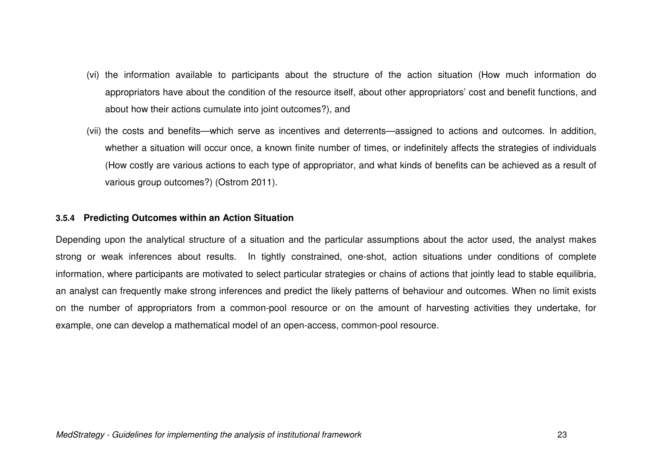- (vi) the information available to participants about the structure of the action situation (How much information do appropriators have about the condition of the resource itself, about other appropriators' cost and benefit functions, and about how their actions cumulate into joint outcomes?), and
- (vii) the costs and benefits—which serve as incentives and deterrents—assigned to actions and outcomes. In addition, whether a situation will occur once, a known finite number of times, or indefinitely affects the strategies of individuals (How costly are various actions to each type of appropriator, and what kinds of benefits can be achieved as a result of various group outcomes?) (Ostrom 2011).

#### **3.5.4 Predicting Outcomes within an Action Situation**

Depending upon the analytical structure of a situation and the particular assumptions about the actor used, the analyst makes strong or weak inferences about results. In tightly constrained, one-shot, action situations under conditions of complete information, where participants are motivated to select particular strategies or chains of actions that jointly lead to stable equilibria, an analyst can frequently make strong inferences and predict the likely patterns of behaviour and outcomes. When no limit exists on the number of appropriators from a common-pool resource or on the amount of harvesting activities they undertake, for example, one can develop a mathematical model of an open-access, common-pool resource.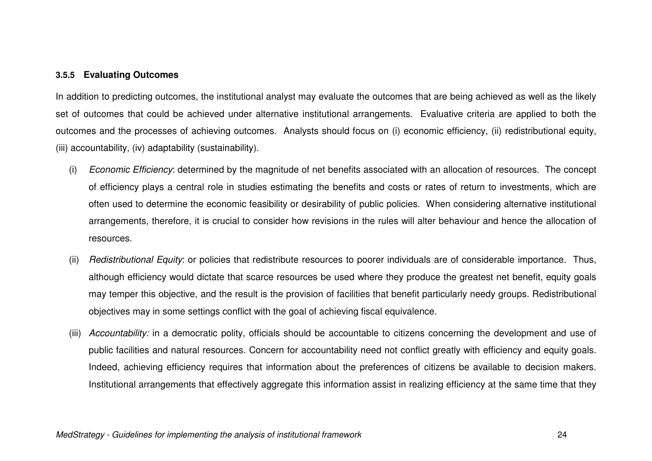#### **3.5.5 Evaluating Outcomes**

In addition to predicting outcomes, the institutional analyst may evaluate the outcomes that are being achieved as well as the likely set of outcomes that could be achieved under alternative institutional arrangements. Evaluative criteria are applied to both the outcomes and the processes of achieving outcomes. Analysts should focus on (i) economic efficiency, (ii) redistributional equity, (iii) accountability, (iv) adaptability (sustainability).

- (i) Economic Efficiency: determined by the magnitude of net benefits associated with an allocation of resources. The conceptof efficiency plays a central role in studies estimating the benefits and costs or rates of return to investments, which are often used to determine the economic feasibility or desirability of public policies. When considering alternative institutional arrangements, therefore, it is crucial to consider how revisions in the rules will alter behaviour and hence the allocation of resources.
- (ii) Redistributional Equity: or policies that redistribute resources to poorer individuals are of considerable importance. Thus,although efficiency would dictate that scarce resources be used where they produce the greatest net benefit, equity goals may temper this objective, and the result is the provision of facilities that benefit particularly needy groups. Redistributional objectives may in some settings conflict with the goal of achieving fiscal equivalence.
- (iii) Accountability: in a democratic polity, officials should be accountable to citizens concerning the development and use of public facilities and natural resources. Concern for accountability need not conflict greatly with efficiency and equity goals. Indeed, achieving efficiency requires that information about the preferences of citizens be available to decision makers. Institutional arrangements that effectively aggregate this information assist in realizing efficiency at the same time that they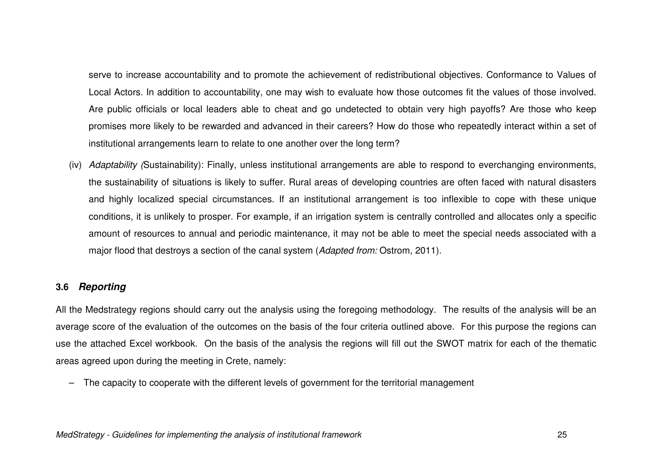serve to increase accountability and to promote the achievement of redistributional objectives. Conformance to Values of Local Actors. In addition to accountability, one may wish to evaluate how those outcomes fit the values of those involved. Are public officials or local leaders able to cheat and go undetected to obtain very high payoffs? Are those who keep promises more likely to be rewarded and advanced in their careers? How do those who repeatedly interact within a set of institutional arrangements learn to relate to one another over the long term?

(iv) Adaptability (Sustainability): Finally, unless institutional arrangements are able to respond to everchanging environments, the sustainability of situations is likely to suffer. Rural areas of developing countries are often faced with natural disasters and highly localized special circumstances. If an institutional arrangement is too inflexible to cope with these unique conditions, it is unlikely to prosper. For example, if an irrigation system is centrally controlled and allocates only a specific amount of resources to annual and periodic maintenance, it may not be able to meet the special needs associated with a major flood that destroys a section of the canal system (Adapted from: Ostrom, 2011).

### **3.6 Reporting**

All the Medstrategy regions should carry out the analysis using the foregoing methodology. The results of the analysis will be an average score of the evaluation of the outcomes on the basis of the four criteria outlined above. For this purpose the regions can use the attached Excel workbook. On the basis of the analysis the regions will fill out the SWOT matrix for each of the thematic areas agreed upon during the meeting in Crete, namely:

– The capacity to cooperate with the different levels of government for the territorial management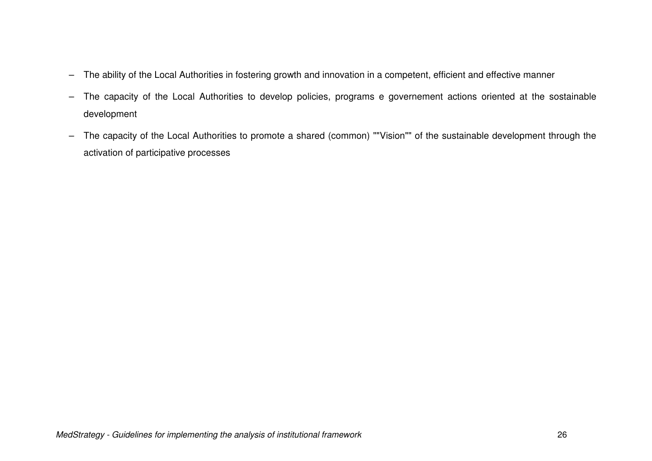- The ability of the Local Authorities in fostering growth and innovation in a competent, efficient and effective manner
- The capacity of the Local Authorities to develop policies, programs e governement actions oriented at the sostainable development
- The capacity of the Local Authorities to promote a shared (common) ""Vision"" of the sustainable development through the activation of participative processes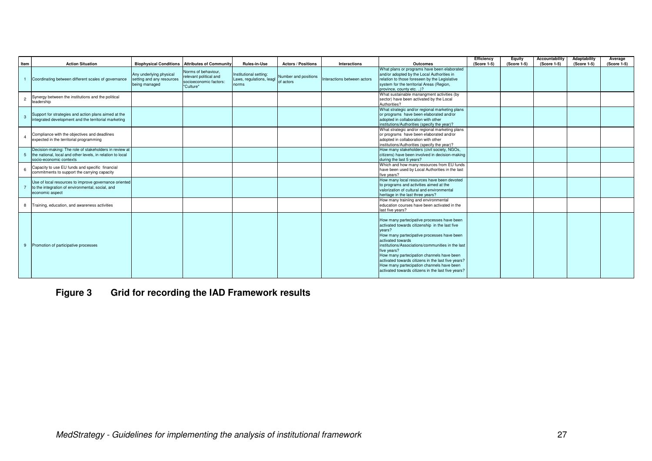| Item           | <b>Action Situation</b>                                                                                                                         |                                                                       | <b>Biophysical Conditions Attributes of Community</b>                                | Rules-in-Use                                                          | <b>Actors / Positions</b> | <b>Interactions</b>         | Outcomes                                                                                                                                                                                                                                                                                                                                                                                                                                            | Efficiency<br>(Score 1-5) | Equity<br>(Score 1-5) | Accountability<br>(Score 1-5) | Adaptability<br>(Score 1-5) | Average<br>(Score 1-5) |
|----------------|-------------------------------------------------------------------------------------------------------------------------------------------------|-----------------------------------------------------------------------|--------------------------------------------------------------------------------------|-----------------------------------------------------------------------|---------------------------|-----------------------------|-----------------------------------------------------------------------------------------------------------------------------------------------------------------------------------------------------------------------------------------------------------------------------------------------------------------------------------------------------------------------------------------------------------------------------------------------------|---------------------------|-----------------------|-------------------------------|-----------------------------|------------------------|
|                | Coordinating between different scales of governance                                                                                             | Any underlying physical<br>setting and any resources<br>being managed | Norms of behaviour,<br>relevant political and<br>socioeconomic factors:<br>"Culture" | Institutional setting:<br>Laws, regulations, leagl of actors<br>norms | Number and positions      | Interactions between actors | What plans or programs have been elaborated<br>and/or adopted by the Local Authorities in<br>relation to those foreseen by the Legislative<br>system for the territorial Areas (Region,<br>province, county etc. )?                                                                                                                                                                                                                                 |                           |                       |                               |                             |                        |
| $\overline{2}$ | Synergy between the institutions and the political<br>leadership                                                                                |                                                                       |                                                                                      |                                                                       |                           |                             | What sustainable manangment activities (by<br>sector) have been activated by the Local<br>Authorities?                                                                                                                                                                                                                                                                                                                                              |                           |                       |                               |                             |                        |
| $\mathbf{3}$   | Support for strategies and action plans aimed at the<br>integrated development and the territorial marketing                                    |                                                                       |                                                                                      |                                                                       |                           |                             | What strategic and/or regional marketing plans<br>or programs have been elaborated and/or<br>adopted in collaboration with other<br>institutions/Authorities (specify the year)?                                                                                                                                                                                                                                                                    |                           |                       |                               |                             |                        |
| $\overline{4}$ | Compliance with the objectives and deadlines<br>expected in the territorial programming                                                         |                                                                       |                                                                                      |                                                                       |                           |                             | What strategic and/or regional marketing plans<br>or programs have been elaborated and/or<br>adopted in collaboration with other<br>institutions/Authorities (specify the year)?                                                                                                                                                                                                                                                                    |                           |                       |                               |                             |                        |
| $5^{\circ}$    | Decision-making: The role of stakeholders in review at<br>the national, local and other levels, in relation to local<br>socio-economic contexts |                                                                       |                                                                                      |                                                                       |                           |                             | How many stakeholders (civil society, NGOs,<br>citizens) have been involved in decision-making<br>during the last 5 years?                                                                                                                                                                                                                                                                                                                          |                           |                       |                               |                             |                        |
| 6              | Capacity to use EU funds and specific financial<br>commitments to support the carrying capacity                                                 |                                                                       |                                                                                      |                                                                       |                           |                             | Which and how many resources from EU funds<br>have been used by Local Authorities in the last<br>five vears?                                                                                                                                                                                                                                                                                                                                        |                           |                       |                               |                             |                        |
|                | Use of local resources to improve governance oriented<br>to the integration of environmental, social, and<br>economic aspect                    |                                                                       |                                                                                      |                                                                       |                           |                             | How many local resources have been devoted<br>to programs and activities aimed at the<br>valorization of cultural and environmental<br>heritage in the last three years?                                                                                                                                                                                                                                                                            |                           |                       |                               |                             |                        |
|                | 8 Training, education, and awareness activities                                                                                                 |                                                                       |                                                                                      |                                                                       |                           |                             | How many trainiing and environmental<br>education courses have been activated in the<br>last five years?                                                                                                                                                                                                                                                                                                                                            |                           |                       |                               |                             |                        |
|                | 9 Promotion of participative processes                                                                                                          |                                                                       |                                                                                      |                                                                       |                           |                             | How many partecipative processes have been<br>activated towards citizenship in the last five<br>vears?<br>How many partecipative processes have been<br>activated towards<br>institutions/Associations/communities in the last<br>five years?<br>How many partecipation channels have been<br>activated towards citizens in the last five years?<br>How many partecipation channels have been<br>activated towards citizens in the last five years? |                           |                       |                               |                             |                        |

**Figure 3 Grid for recording the IAD Framework results**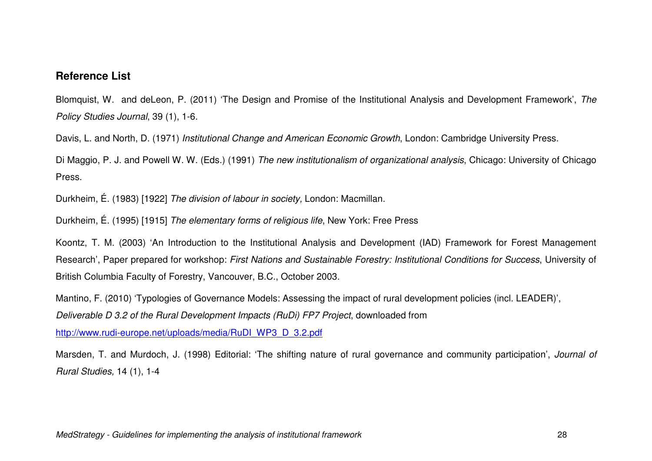### **Reference List**

Blomquist, W. and deLeon, P. (2011) 'The Design and Promise of the Institutional Analysis and Development Framework', The Policy Studies Journal, 39 (1), 1-6.

Davis, L. and North, D. (1971) Institutional Change and American Economic Growth, London: Cambridge University Press.

Di Maggio, P. J. and Powell W. W. (Eds.) (1991) The new institutionalism of organizational analysis, Chicago: University of Chicago Press.

Durkheim, É. (1983) [1922] The division of labour in society, London: Macmillan.

Durkheim, É. (1995) [1915] The elementary forms of religious life, New York: Free Press

Koontz, T. M. (2003) 'An Introduction to the Institutional Analysis and Development (IAD) Framework for Forest Management Research', Paper prepared for workshop: First Nations and Sustainable Forestry: Institutional Conditions for Success, University of British Columbia Faculty of Forestry, Vancouver, B.C., October 2003.

Mantino, F. (2010) 'Typologies of Governance Models: Assessing the impact of rural development policies (incl. LEADER)',

Deliverable D 3.2 of the Rural Development Impacts (RuDi) FP7 Project, downloaded from

http://www.rudi-europe.net/uploads/media/RuDI\_WP3\_D\_3.2.pdf

Marsden, T. and Murdoch, J. (1998) Editorial: 'The shifting nature of rural governance and community participation', Journal of Rural Studies, 14 (1), 1-4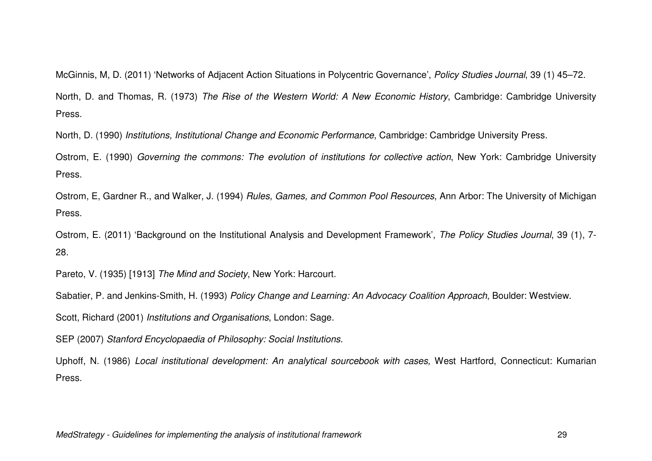McGinnis, M, D. (2011) 'Networks of Adjacent Action Situations in Polycentric Governance', Policy Studies Journal, 39 (1) 45–72. North, D. and Thomas, R. (1973) The Rise of the Western World: A New Economic History, Cambridge: Cambridge University Press.

North, D. (1990) Institutions, Institutional Change and Economic Performance, Cambridge: Cambridge University Press.

Ostrom, E. (1990) Governing the commons: The evolution of institutions for collective action, New York: Cambridge University Press.

Ostrom, E, Gardner R., and Walker, J. (1994) Rules, Games, and Common Pool Resources, Ann Arbor: The University of Michigan Press.

Ostrom, E. (2011) 'Background on the Institutional Analysis and Development Framework', The Policy Studies Journal, 39 (1), 7-28.

Pareto, V. (1935) [1913] The Mind and Society, New York: Harcourt.

Sabatier, P. and Jenkins-Smith, H. (1993) Policy Change and Learning: An Advocacy Coalition Approach, Boulder: Westview.

Scott, Richard (2001) Institutions and Organisations, London: Sage.

SEP (2007) Stanford Encyclopaedia of Philosophy: Social Institutions.

Uphoff, N. (1986) Local institutional development: An analytical sourcebook with cases, West Hartford, Connecticut: Kumarian Press.